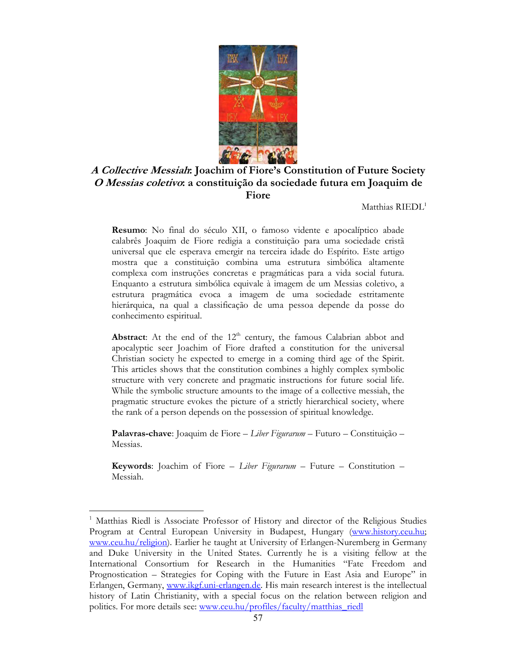

# **A Collective Messiah: Joachim of Fiore's Constitution of Future Society O Messias coletivo: a constituição da sociedade futura em Joaquim de Fiore**

Matthias RIEDL<sup>1</sup>

**Resumo**: No final do século XII, o famoso vidente e apocalíptico abade calabrês Joaquim de Fiore redigia a constituição para uma sociedade cristã universal que ele esperava emergir na terceira idade do Espírito. Este artigo mostra que a constituição combina uma estrutura simbólica altamente complexa com instruções concretas e pragmáticas para a vida social futura. Enquanto a estrutura simbólica equivale à imagem de um Messias coletivo, a estrutura pragmática evoca a imagem de uma sociedade estritamente hierárquica, na qual a classificação de uma pessoa depende da posse do conhecimento espiritual.

**Abstract:** At the end of the  $12<sup>th</sup>$  century, the famous Calabrian abbot and apocalyptic seer Joachim of Fiore drafted a constitution for the universal Christian society he expected to emerge in a coming third age of the Spirit. This articles shows that the constitution combines a highly complex symbolic structure with very concrete and pragmatic instructions for future social life. While the symbolic structure amounts to the image of a collective messiah, the pragmatic structure evokes the picture of a strictly hierarchical society, where the rank of a person depends on the possession of spiritual knowledge.

**Palavras-chave**: Joaquim de Fiore – *Liber Figurarum* – Futuro – Constituição – Messias.

**Keywords**: Joachim of Fiore – *Liber Figurarum* – Future – Constitution – Messiah.

<sup>&</sup>lt;sup>1</sup> Matthias Riedl is Associate Professor of History and director of the Religious Studies Program at Central European University in Budapest, Hungary (www.history.ceu.hu; www.ceu.hu/religion). Earlier he taught at University of Erlangen-Nuremberg in Germany and Duke University in the United States. Currently he is a visiting fellow at the International Consortium for Research in the Humanities "Fate Freedom and Prognostication – Strategies for Coping with the Future in East Asia and Europe" in Erlangen, Germany, www.ikgf.uni-erlangen.de. His main research interest is the intellectual history of Latin Christianity, with a special focus on the relation between religion and politics. For more details see: www.ceu.hu/profiles/faculty/matthias\_riedl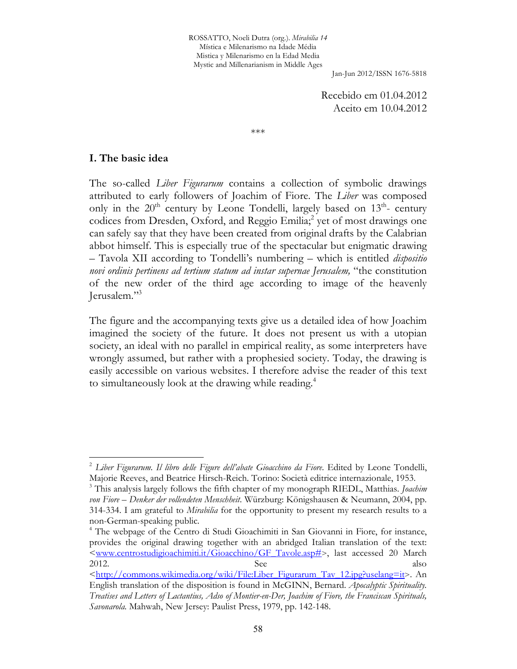ROSSATTO, Noeli Dutra (org.). *Mirabilia 14* Mística e Milenarismo na Idade Média Mistica y Milenarismo en la Edad Media Mystic and Millenarianism in Middle Ages

Jan-Jun 2012/ISSN 1676-5818

Recebido em 01.04.2012 Aceito em 10.04.2012

\*\*\*

### **I. The basic idea**

l

The so-called *Liber Figurarum* contains a collection of symbolic drawings attributed to early followers of Joachim of Fiore. The *Liber* was composed only in the  $20<sup>th</sup>$  century by Leone Tondelli, largely based on  $13<sup>th</sup>$ - century codices from Dresden, Oxford, and Reggio Emilia;<sup>2</sup> yet of most drawings one can safely say that they have been created from original drafts by the Calabrian abbot himself. This is especially true of the spectacular but enigmatic drawing – Tavola XII according to Tondelli's numbering – which is entitled *dispositio novi ordinis pertinens ad tertium statum ad instar supernae Jerusalem,* "the constitution of the new order of the third age according to image of the heavenly Jerusalem."<sup>3</sup>

The figure and the accompanying texts give us a detailed idea of how Joachim imagined the society of the future. It does not present us with a utopian society, an ideal with no parallel in empirical reality, as some interpreters have wrongly assumed, but rather with a prophesied society. Today, the drawing is easily accessible on various websites. I therefore advise the reader of this text to simultaneously look at the drawing while reading.<sup>4</sup>

<sup>&</sup>lt;sup>2</sup> Liber Figurarum. Il libro delle Figure dell'abate Gioacchino da Fiore. Edited by Leone Tondelli, Majorie Reeves, and Beatrice Hirsch-Reich. Torino: Società editrice internazionale, 1953.

<sup>3</sup> This analysis largely follows the fifth chapter of my monograph RIEDL, Matthias. *Joachim von Fiore – Denker der vollendeten Menschheit*. Würzburg: Königshausen & Neumann, 2004, pp. 314-334. I am grateful to *Mirabilia* for the opportunity to present my research results to a non-German-speaking public.

<sup>&</sup>lt;sup>4</sup> The webpage of the Centro di Studi Gioachimiti in San Giovanni in Fiore, for instance, provides the original drawing together with an abridged Italian translation of the text: <www.centrostudigioachimiti.it/Gioacchino/GF\_Tavole.asp#>, last accessed 20 March 2012. See also <http://commons.wikimedia.org/wiki/File:Liber\_Figurarum\_Tav\_12.jpg?uselang=it>. An

English translation of the disposition is found in McGINN, Bernard. *Apocalyptic Spirituality. Treatises and Letters of Lactantius, Adso of Montier-en-Der, Joachim of Fiore, the Franciscan Spirituals, Savonarola.* Mahwah, New Jersey: Paulist Press, 1979, pp. 142-148.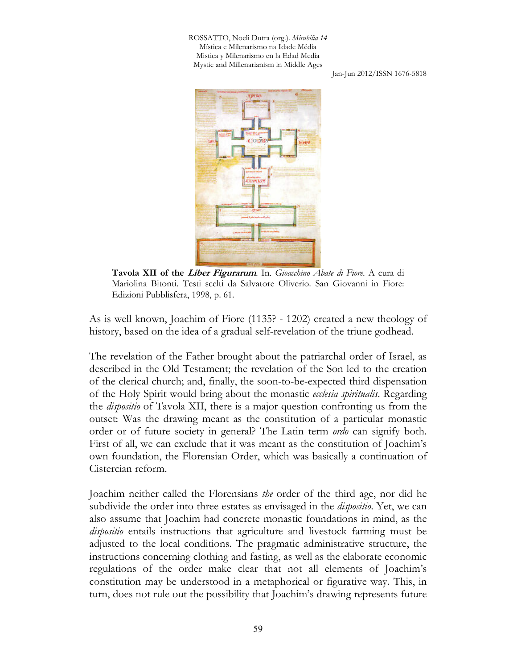ROSSATTO, Noeli Dutra (org.). *Mirabilia 14* Mística e Milenarismo na Idade Média Mistica y Milenarismo en la Edad Media Mystic and Millenarianism in Middle Ages

Jan-Jun 2012/ISSN 1676-5818



**Tavola XII of the Liber Figurarum**. In. *Gioacchino Abate di Fiore*. A cura di Mariolina Bitonti. Testi scelti da Salvatore Oliverio. San Giovanni in Fiore: Edizioni Pubblisfera, 1998, p. 61.

As is well known, Joachim of Fiore (1135? - 1202) created a new theology of history, based on the idea of a gradual self-revelation of the triune godhead.

The revelation of the Father brought about the patriarchal order of Israel, as described in the Old Testament; the revelation of the Son led to the creation of the clerical church; and, finally, the soon-to-be-expected third dispensation of the Holy Spirit would bring about the monastic *ecclesia spiritualis*. Regarding the *dispositio* of Tavola XII, there is a major question confronting us from the outset: Was the drawing meant as the constitution of a particular monastic order or of future society in general? The Latin term *ordo* can signify both. First of all, we can exclude that it was meant as the constitution of Joachim's own foundation, the Florensian Order, which was basically a continuation of Cistercian reform.

Joachim neither called the Florensians *the* order of the third age, nor did he subdivide the order into three estates as envisaged in the *dispositio*. Yet, we can also assume that Joachim had concrete monastic foundations in mind, as the *dispositio* entails instructions that agriculture and livestock farming must be adjusted to the local conditions. The pragmatic administrative structure, the instructions concerning clothing and fasting, as well as the elaborate economic regulations of the order make clear that not all elements of Joachim's constitution may be understood in a metaphorical or figurative way. This, in turn, does not rule out the possibility that Joachim's drawing represents future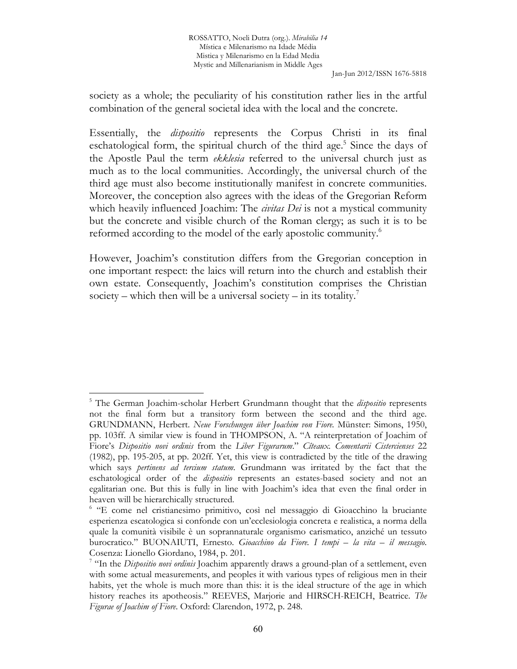society as a whole; the peculiarity of his constitution rather lies in the artful combination of the general societal idea with the local and the concrete.

Essentially, the *dispositio* represents the Corpus Christi in its final eschatological form, the spiritual church of the third age.<sup>5</sup> Since the days of the Apostle Paul the term *ekklesia* referred to the universal church just as much as to the local communities. Accordingly, the universal church of the third age must also become institutionally manifest in concrete communities. Moreover, the conception also agrees with the ideas of the Gregorian Reform which heavily influenced Joachim: The *civitas Dei* is not a mystical community but the concrete and visible church of the Roman clergy; as such it is to be reformed according to the model of the early apostolic community.<sup>6</sup>

However, Joachim's constitution differs from the Gregorian conception in one important respect: the laics will return into the church and establish their own estate. Consequently, Joachim's constitution comprises the Christian society – which then will be a universal society – in its totality.<sup>7</sup>

<sup>5</sup> The German Joachim-scholar Herbert Grundmann thought that the *dispositio* represents not the final form but a transitory form between the second and the third age. GRUNDMANN, Herbert. *Neue Forschungen über Joachim von Fiore.* Münster: Simons, 1950, pp. 103ff. A similar view is found in THOMPSON, A. "A reinterpretation of Joachim of Fiore's *Dispositio novi ordinis* from the *Liber Figurarum*." *Cîteaux. Comentarii Cistercienses* 22 (1982), pp. 195-205, at pp. 202ff. Yet, this view is contradicted by the title of the drawing which says *pertinens ad tercium statum*. Grundmann was irritated by the fact that the eschatological order of the *dispositio* represents an estates-based society and not an egalitarian one. But this is fully in line with Joachim's idea that even the final order in heaven will be hierarchically structured.

<sup>6</sup> "E come nel cristianesimo primitivo, così nel messaggio di Gioacchino la bruciante esperienza escatologica si confonde con un'ecclesiologia concreta e realistica, a norma della quale la comunità visibile è un soprannaturale organismo carismatico, anziché un tessuto burocratico." BUONAIUTI, Ernesto. *Gioacchino da Fiore. I tempi – la vita – il messagio*. Cosenza: Lionello Giordano, 1984, p. 201.

<sup>7</sup> "In the *Dispositio novi ordinis* Joachim apparently draws a ground-plan of a settlement, even with some actual measurements, and peoples it with various types of religious men in their habits, yet the whole is much more than this: it is the ideal structure of the age in which history reaches its apotheosis." REEVES, Marjorie and HIRSCH-REICH, Beatrice. *The Figurae of Joachim of Fiore*. Oxford: Clarendon, 1972, p. 248.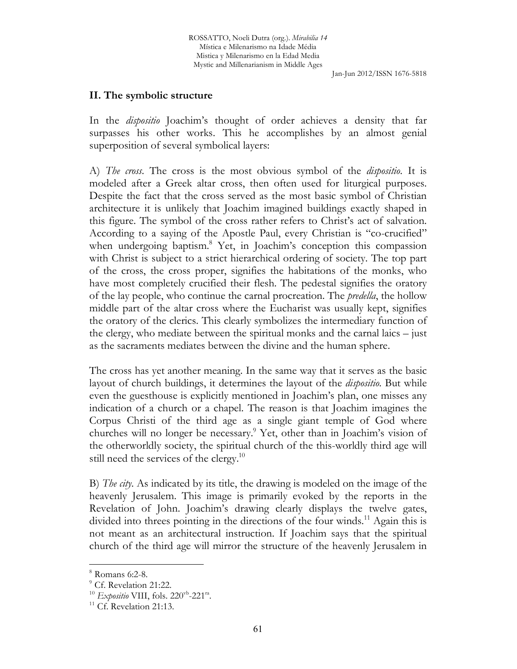## **II. The symbolic structure**

In the *dispositio* Joachim's thought of order achieves a density that far surpasses his other works. This he accomplishes by an almost genial superposition of several symbolical layers:

A) *The cross*. The cross is the most obvious symbol of the *dispositio*. It is modeled after a Greek altar cross, then often used for liturgical purposes. Despite the fact that the cross served as the most basic symbol of Christian architecture it is unlikely that Joachim imagined buildings exactly shaped in this figure. The symbol of the cross rather refers to Christ's act of salvation. According to a saying of the Apostle Paul, every Christian is "co-crucified" when undergoing baptism.<sup>8</sup> Yet, in Joachim's conception this compassion with Christ is subject to a strict hierarchical ordering of society. The top part of the cross, the cross proper, signifies the habitations of the monks, who have most completely crucified their flesh. The pedestal signifies the oratory of the lay people, who continue the carnal procreation. The *predella*, the hollow middle part of the altar cross where the Eucharist was usually kept, signifies the oratory of the clerics. This clearly symbolizes the intermediary function of the clergy, who mediate between the spiritual monks and the carnal laics – just as the sacraments mediates between the divine and the human sphere.

The cross has yet another meaning. In the same way that it serves as the basic layout of church buildings, it determines the layout of the *dispositio*. But while even the guesthouse is explicitly mentioned in Joachim's plan, one misses any indication of a church or a chapel. The reason is that Joachim imagines the Corpus Christi of the third age as a single giant temple of God where churches will no longer be necessary.<sup>9</sup> Yet, other than in Joachim's vision of the otherworldly society, the spiritual church of the this-worldly third age will still need the services of the clergy.<sup>10</sup>

B) *The city*. As indicated by its title, the drawing is modeled on the image of the heavenly Jerusalem. This image is primarily evoked by the reports in the Revelation of John. Joachim's drawing clearly displays the twelve gates, divided into threes pointing in the directions of the four winds.<sup>11</sup> Again this is not meant as an architectural instruction. If Joachim says that the spiritual church of the third age will mirror the structure of the heavenly Jerusalem in

<sup>8</sup> Romans 6:2-8.

<sup>&</sup>lt;sup>9</sup> Cf. Revelation 21:22.

<sup>&</sup>lt;sup>10</sup> *Expositio* VIII, fols. 220<sup>vb</sup>-221<sup>ra</sup>.

 $11$  Cf. Revelation 21:13.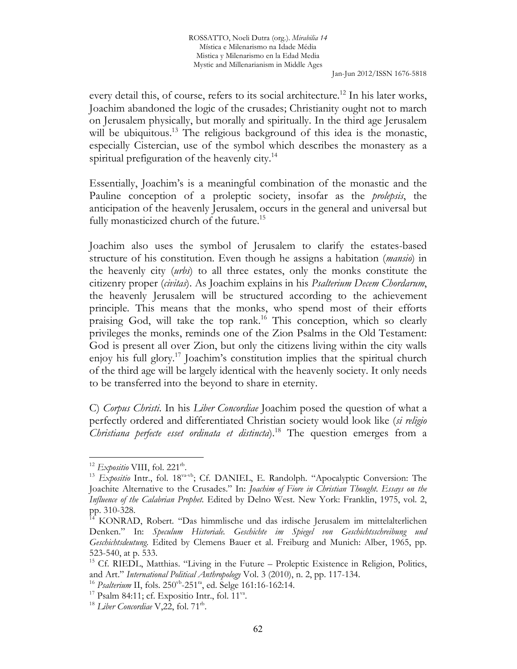every detail this, of course, refers to its social architecture.<sup>12</sup> In his later works, Joachim abandoned the logic of the crusades; Christianity ought not to march on Jerusalem physically, but morally and spiritually. In the third age Jerusalem will be ubiquitous.<sup>13</sup> The religious background of this idea is the monastic, especially Cistercian, use of the symbol which describes the monastery as a spiritual prefiguration of the heavenly city.<sup>14</sup>

Essentially, Joachim's is a meaningful combination of the monastic and the Pauline conception of a proleptic society, insofar as the *prolepsis*, the anticipation of the heavenly Jerusalem, occurs in the general and universal but fully monasticized church of the future.<sup>15</sup>

Joachim also uses the symbol of Jerusalem to clarify the estates-based structure of his constitution. Even though he assigns a habitation (*mansio*) in the heavenly city (*urbs*) to all three estates, only the monks constitute the citizenry proper (*civitas*). As Joachim explains in his *Psalterium Decem Chordarum*, the heavenly Jerusalem will be structured according to the achievement principle. This means that the monks, who spend most of their efforts praising God, will take the top rank.<sup>16</sup> This conception, which so clearly privileges the monks, reminds one of the Zion Psalms in the Old Testament: God is present all over Zion, but only the citizens living within the city walls enjoy his full glory.<sup>17</sup> Joachim's constitution implies that the spiritual church of the third age will be largely identical with the heavenly society. It only needs to be transferred into the beyond to share in eternity.

C) *Corpus Christi*. In his *Liber Concordiae* Joachim posed the question of what a perfectly ordered and differentiated Christian society would look like (*si religio Christiana perfecte esset ordinata et distincta*).<sup>18</sup> The question emerges from a

<sup>&</sup>lt;sup>12</sup> Expositio VIII, fol. 221<sup>th</sup>.

<sup>&</sup>lt;sup>13</sup> *Expositio* Intr., fol. 18<sup>va-vb</sup>; Cf. DANIEL, E. Randolph. "Apocalyptic Conversion: The Joachite Alternative to the Crusades." In: *Joachim of Fiore in Christian Thought. Essays on the Influence of the Calabrian Prophet.* Edited by Delno West. New York: Franklin, 1975, vol. 2, pp. 310-328.

<sup>&</sup>lt;sup>14</sup> KONRAD, Robert. "Das himmlische und das irdische Jerusalem im mittelalterlichen Denken." In: *Speculum Historiale. Geschichte im Spiegel von Geschichtsschreibung und Geschichtsdeutung*. Edited by Clemens Bauer et al. Freiburg and Munich: Alber, 1965, pp. 523-540, at p. 533.

<sup>&</sup>lt;sup>15</sup> Cf. RIEDL, Matthias. "Living in the Future – Proleptic Existence in Religion, Politics, and Art." *International Political Anthropology* Vol. 3 (2010), n. 2, pp. 117-134.

<sup>&</sup>lt;sup>16</sup> *Psalterium* II, fols. 250<sup>vb</sup>-251<sup>ra</sup>, ed. Selge 161:16-162:14.

<sup>&</sup>lt;sup>17</sup> Psalm 84:11; cf. Expositio Intr., fol.  $11^{\text{va}}$ .

<sup>&</sup>lt;sup>18</sup> Liber Concordiae V,22, fol. 71<sup>th</sup>.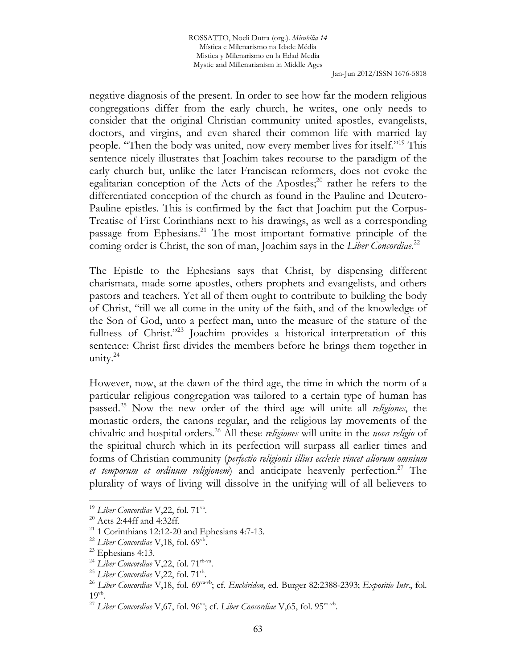ROSSATTO, Noeli Dutra (org.). *Mirabilia 14* Mística e Milenarismo na Idade Média Mistica y Milenarismo en la Edad Media Mystic and Millenarianism in Middle Ages

Jan-Jun 2012/ISSN 1676-5818

negative diagnosis of the present. In order to see how far the modern religious congregations differ from the early church, he writes, one only needs to consider that the original Christian community united apostles, evangelists, doctors, and virgins, and even shared their common life with married lay people. "Then the body was united, now every member lives for itself."<sup>19</sup> This sentence nicely illustrates that Joachim takes recourse to the paradigm of the early church but, unlike the later Franciscan reformers, does not evoke the egalitarian conception of the Acts of the Apostles; $^{20}$  rather he refers to the differentiated conception of the church as found in the Pauline and Deutero-Pauline epistles. This is confirmed by the fact that Joachim put the Corpus-Treatise of First Corinthians next to his drawings, as well as a corresponding passage from Ephesians.<sup>21</sup> The most important formative principle of the coming order is Christ, the son of man, Joachim says in the *Liber Concordiae*. 22

The Epistle to the Ephesians says that Christ, by dispensing different charismata, made some apostles, others prophets and evangelists, and others pastors and teachers. Yet all of them ought to contribute to building the body of Christ, "till we all come in the unity of the faith, and of the knowledge of the Son of God, unto a perfect man, unto the measure of the stature of the fullness of Christ."<sup>23</sup> Joachim provides a historical interpretation of this sentence: Christ first divides the members before he brings them together in unity. $24$ 

However, now, at the dawn of the third age, the time in which the norm of a particular religious congregation was tailored to a certain type of human has passed.<sup>25</sup> Now the new order of the third age will unite all *religiones*, the monastic orders, the canons regular, and the religious lay movements of the chivalric and hospital orders.<sup>26</sup> All these *religiones* will unite in the *nova religio* of the spiritual church which in its perfection will surpass all earlier times and forms of Christian community (*perfectio religionis illius ecclesie vincet aliorum omnium et temporum et ordinum religionem*) and anticipate heavenly perfection.<sup>27</sup> The plurality of ways of living will dissolve in the unifying will of all believers to

<sup>&</sup>lt;sup>19</sup> Liber Concordiae V,22, fol. 71<sup>va</sup>.

 $20$  Acts 2:44ff and 4:32ff.

<sup>&</sup>lt;sup>21</sup> 1 Corinthians 12:12-20 and Ephesians 4:7-13.

<sup>&</sup>lt;sup>22</sup> Liber Concordiae V,18, fol. 69<sup>vb</sup>.

<sup>&</sup>lt;sup>23</sup> Ephesians 4:13.

<sup>&</sup>lt;sup>24</sup> Liber Concordiae V,22, fol. 71<sup>rb-va</sup>.

<sup>&</sup>lt;sup>25</sup> Liber Concordiae V,22, fol. 71<sup>th</sup>.

<sup>&</sup>lt;sup>26</sup> Liber Concordiae V,18, fol. 69<sup>va-vb</sup>; cf. *Enchiridon*, ed. Burger 82:2388-2393; *Expositio Intr.*, fol.  $19<sup>vb</sup>$ .

<sup>&</sup>lt;sup>27</sup> Liber Concordiae V,67, fol. 96<sup>va</sup>; cf. Liber Concordiae V,65, fol. 95<sup>va-vb</sup>.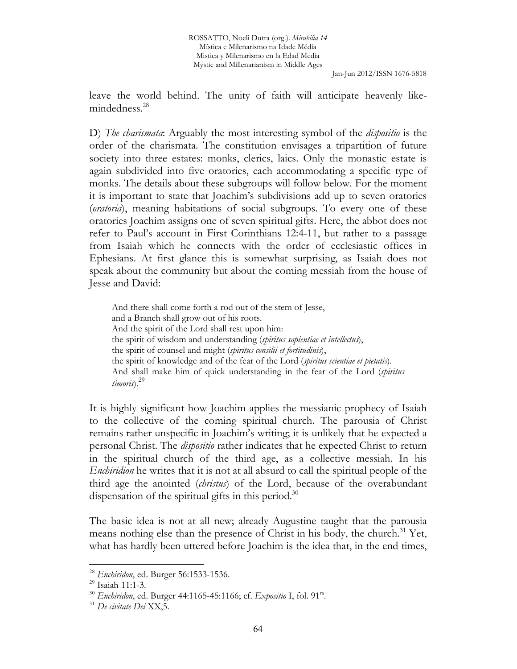leave the world behind. The unity of faith will anticipate heavenly likemindedness.<sup>28</sup>

D) *The charismata*: Arguably the most interesting symbol of the *dispositio* is the order of the charismata. The constitution envisages a tripartition of future society into three estates: monks, clerics, laics. Only the monastic estate is again subdivided into five oratories, each accommodating a specific type of monks. The details about these subgroups will follow below. For the moment it is important to state that Joachim's subdivisions add up to seven oratories (*oratoria*), meaning habitations of social subgroups. To every one of these oratories Joachim assigns one of seven spiritual gifts. Here, the abbot does not refer to Paul's account in First Corinthians 12:4-11, but rather to a passage from Isaiah which he connects with the order of ecclesiastic offices in Ephesians. At first glance this is somewhat surprising, as Isaiah does not speak about the community but about the coming messiah from the house of Jesse and David:

And there shall come forth a rod out of the stem of Jesse, and a Branch shall grow out of his roots. And the spirit of the Lord shall rest upon him: the spirit of wisdom and understanding (*spiritus sapientiae et intellectus*), the spirit of counsel and might (*spiritus consilii et fortitudinis*), the spirit of knowledge and of the fear of the Lord (*spiritus scientiae et pietatis*). And shall make him of quick understanding in the fear of the Lord (*spiritus timoris*).<sup>29</sup>

It is highly significant how Joachim applies the messianic prophecy of Isaiah to the collective of the coming spiritual church. The parousia of Christ remains rather unspecific in Joachim's writing; it is unlikely that he expected a personal Christ. The *dispositio* rather indicates that he expected Christ to return in the spiritual church of the third age, as a collective messiah. In his *Enchiridion* he writes that it is not at all absurd to call the spiritual people of the third age the anointed (*christus*) of the Lord, because of the overabundant dispensation of the spiritual gifts in this period.<sup>30</sup>

The basic idea is not at all new; already Augustine taught that the parousia means nothing else than the presence of Christ in his body, the church.<sup>31</sup> Yet, what has hardly been uttered before Joachim is the idea that, in the end times,

<sup>28</sup> *Enchiridon*, ed. Burger 56:1533-1536.

<sup>29</sup> Isaiah 11:1-3.

<sup>30</sup> *Enchiridon*, ed. Burger 44:1165-45:1166; cf. *Expositio* I, fol. 91ra .

<sup>31</sup> *De civitate Dei* XX,5.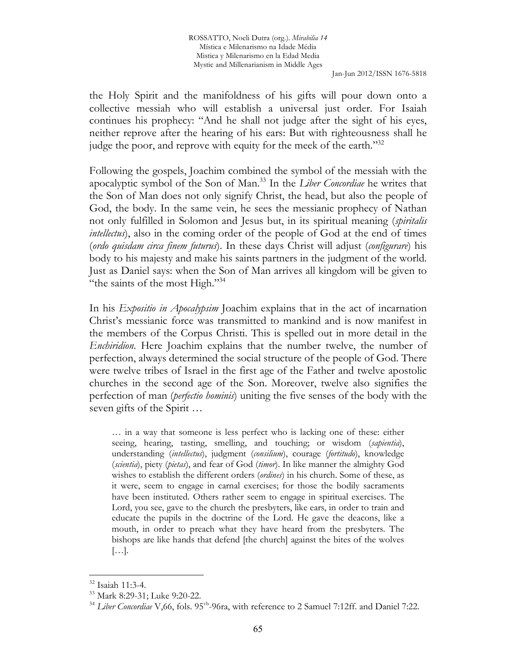the Holy Spirit and the manifoldness of his gifts will pour down onto a collective messiah who will establish a universal just order. For Isaiah continues his prophecy: "And he shall not judge after the sight of his eyes, neither reprove after the hearing of his ears: But with righteousness shall he judge the poor, and reprove with equity for the meek of the earth."<sup>32</sup>

Following the gospels, Joachim combined the symbol of the messiah with the apocalyptic symbol of the Son of Man.<sup>33</sup> In the *Liber Concordiae* he writes that the Son of Man does not only signify Christ, the head, but also the people of God, the body. In the same vein, he sees the messianic prophecy of Nathan not only fulfilled in Solomon and Jesus but, in its spiritual meaning (*spiritalis intellectus*), also in the coming order of the people of God at the end of times (*ordo quisdam circa finem futurus*). In these days Christ will adjust (*configurare*) his body to his majesty and make his saints partners in the judgment of the world. Just as Daniel says: when the Son of Man arrives all kingdom will be given to "the saints of the most High."<sup>34</sup>

In his *Expositio in Apocalypsim* Joachim explains that in the act of incarnation Christ's messianic force was transmitted to mankind and is now manifest in the members of the Corpus Christi. This is spelled out in more detail in the *Enchiridion*. Here Joachim explains that the number twelve, the number of perfection, always determined the social structure of the people of God. There were twelve tribes of Israel in the first age of the Father and twelve apostolic churches in the second age of the Son. Moreover, twelve also signifies the perfection of man (*perfectio hominis*) uniting the five senses of the body with the seven gifts of the Spirit …

… in a way that someone is less perfect who is lacking one of these: either seeing, hearing, tasting, smelling, and touching; or wisdom (*sapientia*), understanding (*intellectus*), judgment (*consilium*), courage (*fortitudo*), knowledge (*scientia*), piety (*pietas*), and fear of God (*timor*). In like manner the almighty God wishes to establish the different orders (*ordines*) in his church. Some of these, as it were, seem to engage in carnal exercises; for those the bodily sacraments have been instituted. Others rather seem to engage in spiritual exercises. The Lord, you see, gave to the church the presbyters, like ears, in order to train and educate the pupils in the doctrine of the Lord. He gave the deacons, like a mouth, in order to preach what they have heard from the presbyters. The bishops are like hands that defend [the church] against the bites of the wolves […].

<sup>32</sup> Isaiah 11:3-4.

<sup>33</sup> Mark 8:29-31; Luke 9:20-22.

<sup>&</sup>lt;sup>34</sup> Liber Concordiae V, 66, fols. 95<sup>vb</sup>-96ra, with reference to 2 Samuel 7:12ff. and Daniel 7:22.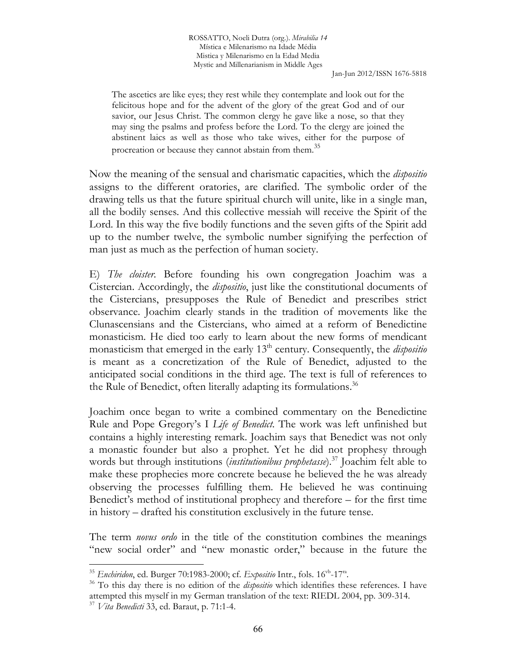The ascetics are like eyes; they rest while they contemplate and look out for the felicitous hope and for the advent of the glory of the great God and of our savior, our Jesus Christ. The common clergy he gave like a nose, so that they may sing the psalms and profess before the Lord. To the clergy are joined the abstinent laics as well as those who take wives, either for the purpose of procreation or because they cannot abstain from them.<sup>35</sup>

Now the meaning of the sensual and charismatic capacities, which the *dispositio* assigns to the different oratories, are clarified. The symbolic order of the drawing tells us that the future spiritual church will unite, like in a single man, all the bodily senses. And this collective messiah will receive the Spirit of the Lord. In this way the five bodily functions and the seven gifts of the Spirit add up to the number twelve, the symbolic number signifying the perfection of man just as much as the perfection of human society.

E) *The cloister*. Before founding his own congregation Joachim was a Cistercian. Accordingly, the *dispositio*, just like the constitutional documents of the Cistercians, presupposes the Rule of Benedict and prescribes strict observance. Joachim clearly stands in the tradition of movements like the Clunascensians and the Cistercians, who aimed at a reform of Benedictine monasticism. He died too early to learn about the new forms of mendicant monasticism that emerged in the early 13th century. Consequently, the *dispositio* is meant as a concretization of the Rule of Benedict, adjusted to the anticipated social conditions in the third age. The text is full of references to the Rule of Benedict, often literally adapting its formulations.<sup>36</sup>

Joachim once began to write a combined commentary on the Benedictine Rule and Pope Gregory's I *Life of Benedict*. The work was left unfinished but contains a highly interesting remark. Joachim says that Benedict was not only a monastic founder but also a prophet. Yet he did not prophesy through words but through institutions *(institutionibus prophetasse*).<sup>37</sup> Joachim felt able to make these prophecies more concrete because he believed the he was already observing the processes fulfilling them. He believed he was continuing Benedict's method of institutional prophecy and therefore – for the first time in history – drafted his constitution exclusively in the future tense.

The term *novus ordo* in the title of the constitution combines the meanings "new social order" and "new monastic order," because in the future the

<sup>35</sup> *Enchiridon*, ed. Burger 70:1983-2000; cf. *Expositio* Intr., fols. 16vb-17ra .

<sup>36</sup> To this day there is no edition of the *dispositio* which identifies these references. I have attempted this myself in my German translation of the text: RIEDL 2004, pp. 309-314.

<sup>37</sup> *Vita Benedicti* 33, ed. Baraut, p. 71:1-4.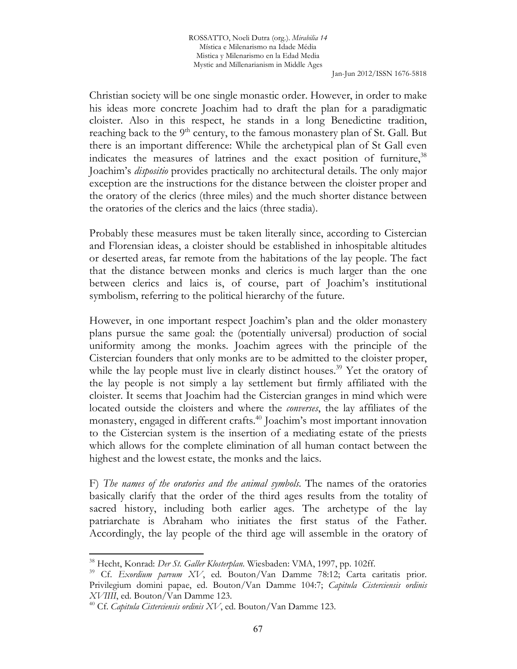Christian society will be one single monastic order. However, in order to make his ideas more concrete Joachim had to draft the plan for a paradigmatic cloister. Also in this respect, he stands in a long Benedictine tradition, reaching back to the  $9<sup>th</sup>$  century, to the famous monastery plan of St. Gall. But there is an important difference: While the archetypical plan of St Gall even indicates the measures of latrines and the exact position of furniture,  $38$ Joachim's *dispositio* provides practically no architectural details. The only major exception are the instructions for the distance between the cloister proper and the oratory of the clerics (three miles) and the much shorter distance between the oratories of the clerics and the laics (three stadia).

Probably these measures must be taken literally since, according to Cistercian and Florensian ideas, a cloister should be established in inhospitable altitudes or deserted areas, far remote from the habitations of the lay people. The fact that the distance between monks and clerics is much larger than the one between clerics and laics is, of course, part of Joachim's institutional symbolism, referring to the political hierarchy of the future.

However, in one important respect Joachim's plan and the older monastery plans pursue the same goal: the (potentially universal) production of social uniformity among the monks. Joachim agrees with the principle of the Cistercian founders that only monks are to be admitted to the cloister proper, while the lay people must live in clearly distinct houses.<sup>39</sup> Yet the oratory of the lay people is not simply a lay settlement but firmly affiliated with the cloister. It seems that Joachim had the Cistercian granges in mind which were located outside the cloisters and where the *converses*, the lay affiliates of the monastery, engaged in different crafts.<sup>40</sup> Joachim's most important innovation to the Cistercian system is the insertion of a mediating estate of the priests which allows for the complete elimination of all human contact between the highest and the lowest estate, the monks and the laics.

F) *The names of the oratories and the animal symbols*. The names of the oratories basically clarify that the order of the third ages results from the totality of sacred history, including both earlier ages. The archetype of the lay patriarchate is Abraham who initiates the first status of the Father. Accordingly, the lay people of the third age will assemble in the oratory of

<sup>38</sup> Hecht, Konrad: *Der St. Galler Klosterplan*. Wiesbaden: VMA, 1997, pp. 102ff.

<sup>39</sup> Cf. *Exordium parvum XV*, ed. Bouton/Van Damme 78:12; Carta caritatis prior. Privilegium domini papae, ed. Bouton/Van Damme 104:7; *Capitula Cisterciensis ordinis XVIIII*, ed. Bouton/Van Damme 123.

<sup>40</sup> Cf. *Capitula Cisterciensis ordinis XV*, ed. Bouton/Van Damme 123.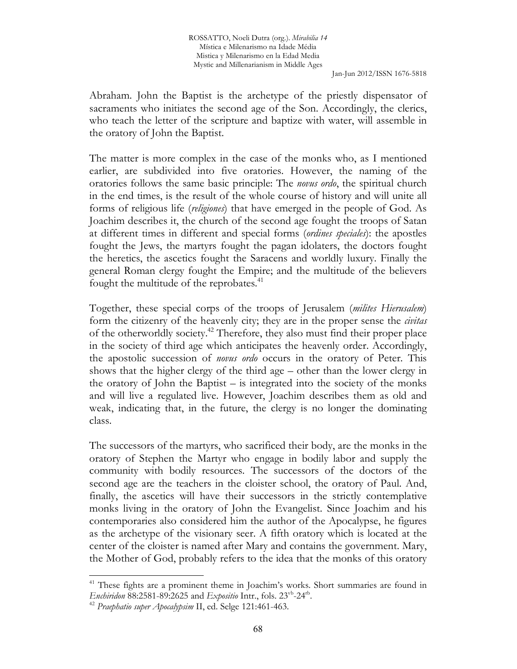Abraham. John the Baptist is the archetype of the priestly dispensator of sacraments who initiates the second age of the Son. Accordingly, the clerics, who teach the letter of the scripture and baptize with water, will assemble in the oratory of John the Baptist.

The matter is more complex in the case of the monks who, as I mentioned earlier, are subdivided into five oratories. However, the naming of the oratories follows the same basic principle: The *novus ordo*, the spiritual church in the end times, is the result of the whole course of history and will unite all forms of religious life (*religiones*) that have emerged in the people of God. As Joachim describes it, the church of the second age fought the troops of Satan at different times in different and special forms (*ordines speciales*): the apostles fought the Jews, the martyrs fought the pagan idolaters, the doctors fought the heretics, the ascetics fought the Saracens and worldly luxury. Finally the general Roman clergy fought the Empire; and the multitude of the believers fought the multitude of the reprobates.<sup>41</sup>

Together, these special corps of the troops of Jerusalem (*milites Hierusalem*) form the citizenry of the heavenly city; they are in the proper sense the *civitas* of the otherworldly society.<sup>42</sup> Therefore, they also must find their proper place in the society of third age which anticipates the heavenly order. Accordingly, the apostolic succession of *novus ordo* occurs in the oratory of Peter. This shows that the higher clergy of the third age – other than the lower clergy in the oratory of John the Baptist – is integrated into the society of the monks and will live a regulated live. However, Joachim describes them as old and weak, indicating that, in the future, the clergy is no longer the dominating class.

The successors of the martyrs, who sacrificed their body, are the monks in the oratory of Stephen the Martyr who engage in bodily labor and supply the community with bodily resources. The successors of the doctors of the second age are the teachers in the cloister school, the oratory of Paul. And, finally, the ascetics will have their successors in the strictly contemplative monks living in the oratory of John the Evangelist. Since Joachim and his contemporaries also considered him the author of the Apocalypse, he figures as the archetype of the visionary seer. A fifth oratory which is located at the center of the cloister is named after Mary and contains the government. Mary, the Mother of God, probably refers to the idea that the monks of this oratory

<sup>&</sup>lt;sup>41</sup> These fights are a prominent theme in Joachim's works. Short summaries are found in *Enchiridon* 88:2581-89:2625 and *Expositio* Intr., fols. 23vb-24rb .

<sup>42</sup> *Praephatio super Apocalypsim* II, ed. Selge 121:461-463.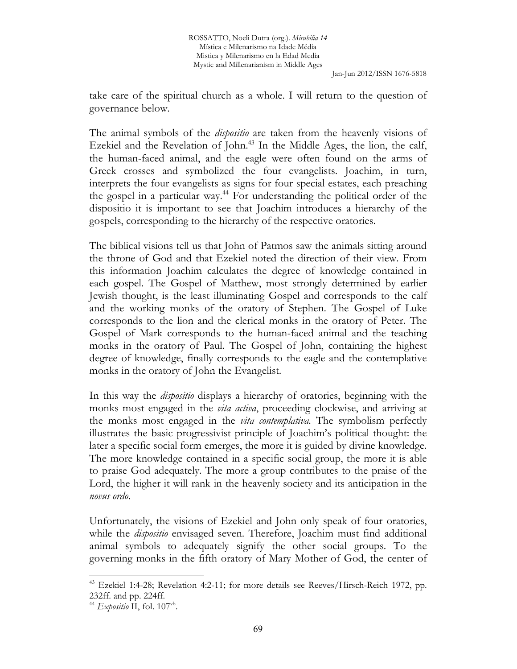take care of the spiritual church as a whole. I will return to the question of governance below.

The animal symbols of the *dispositio* are taken from the heavenly visions of Ezekiel and the Revelation of John.<sup>43</sup> In the Middle Ages, the lion, the calf, the human-faced animal, and the eagle were often found on the arms of Greek crosses and symbolized the four evangelists. Joachim, in turn, interprets the four evangelists as signs for four special estates, each preaching the gospel in a particular way.<sup>44</sup> For understanding the political order of the dispositio it is important to see that Joachim introduces a hierarchy of the gospels, corresponding to the hierarchy of the respective oratories.

The biblical visions tell us that John of Patmos saw the animals sitting around the throne of God and that Ezekiel noted the direction of their view. From this information Joachim calculates the degree of knowledge contained in each gospel. The Gospel of Matthew, most strongly determined by earlier Jewish thought, is the least illuminating Gospel and corresponds to the calf and the working monks of the oratory of Stephen. The Gospel of Luke corresponds to the lion and the clerical monks in the oratory of Peter. The Gospel of Mark corresponds to the human-faced animal and the teaching monks in the oratory of Paul. The Gospel of John, containing the highest degree of knowledge, finally corresponds to the eagle and the contemplative monks in the oratory of John the Evangelist.

In this way the *dispositio* displays a hierarchy of oratories, beginning with the monks most engaged in the *vita activa*, proceeding clockwise, and arriving at the monks most engaged in the *vita contemplativa*. The symbolism perfectly illustrates the basic progressivist principle of Joachim's political thought: the later a specific social form emerges, the more it is guided by divine knowledge. The more knowledge contained in a specific social group, the more it is able to praise God adequately. The more a group contributes to the praise of the Lord, the higher it will rank in the heavenly society and its anticipation in the *novus ordo*.

Unfortunately, the visions of Ezekiel and John only speak of four oratories, while the *dispositio* envisaged seven. Therefore, Joachim must find additional animal symbols to adequately signify the other social groups. To the governing monks in the fifth oratory of Mary Mother of God, the center of

<sup>&</sup>lt;sup>43</sup> Ezekiel 1:4-28; Revelation 4:2-11; for more details see Reeves/Hirsch-Reich 1972, pp. 232ff. and pp. 224ff.

<sup>&</sup>lt;sup>44</sup> Expositio II, fol. 107<sup>vb</sup>.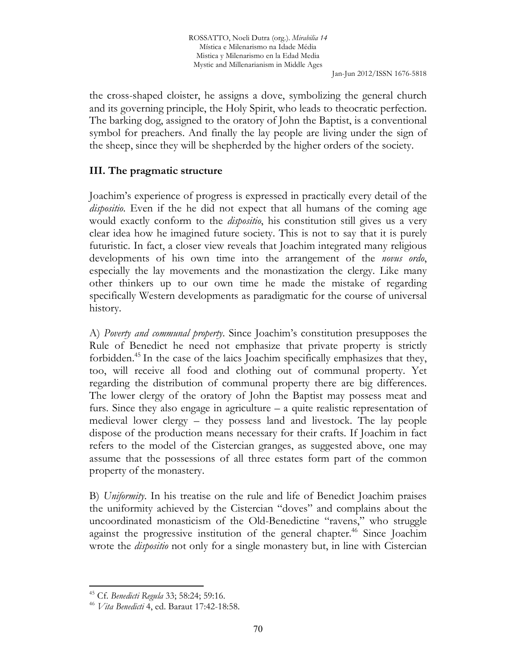the cross-shaped cloister, he assigns a dove, symbolizing the general church and its governing principle, the Holy Spirit, who leads to theocratic perfection. The barking dog, assigned to the oratory of John the Baptist, is a conventional symbol for preachers. And finally the lay people are living under the sign of the sheep, since they will be shepherded by the higher orders of the society.

## **III. The pragmatic structure**

Joachim's experience of progress is expressed in practically every detail of the *dispositio*. Even if the he did not expect that all humans of the coming age would exactly conform to the *dispositio*, his constitution still gives us a very clear idea how he imagined future society. This is not to say that it is purely futuristic. In fact, a closer view reveals that Joachim integrated many religious developments of his own time into the arrangement of the *novus ordo*, especially the lay movements and the monastization the clergy. Like many other thinkers up to our own time he made the mistake of regarding specifically Western developments as paradigmatic for the course of universal history.

A) *Poverty and communal property*. Since Joachim's constitution presupposes the Rule of Benedict he need not emphasize that private property is strictly forbidden.<sup>45</sup> In the case of the laics Joachim specifically emphasizes that they, too, will receive all food and clothing out of communal property. Yet regarding the distribution of communal property there are big differences. The lower clergy of the oratory of John the Baptist may possess meat and furs. Since they also engage in agriculture – a quite realistic representation of medieval lower clergy – they possess land and livestock. The lay people dispose of the production means necessary for their crafts. If Joachim in fact refers to the model of the Cistercian granges, as suggested above, one may assume that the possessions of all three estates form part of the common property of the monastery.

B) *Uniformity*. In his treatise on the rule and life of Benedict Joachim praises the uniformity achieved by the Cistercian "doves" and complains about the uncoordinated monasticism of the Old-Benedictine "ravens," who struggle against the progressive institution of the general chapter.<sup>46</sup> Since Joachim wrote the *dispositio* not only for a single monastery but, in line with Cistercian

<sup>45</sup> Cf. *Benedicti Regula* 33; 58:24; 59:16.

<sup>46</sup> *Vita Benedicti* 4, ed. Baraut 17:42-18:58.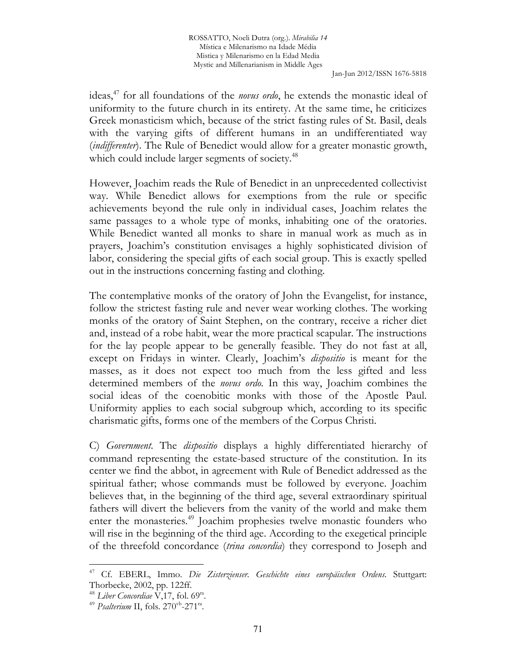ideas,<sup>47</sup> for all foundations of the *novus ordo*, he extends the monastic ideal of uniformity to the future church in its entirety. At the same time, he criticizes Greek monasticism which, because of the strict fasting rules of St. Basil, deals with the varying gifts of different humans in an undifferentiated way (*indifferenter*). The Rule of Benedict would allow for a greater monastic growth, which could include larger segments of society.<sup>48</sup>

However, Joachim reads the Rule of Benedict in an unprecedented collectivist way. While Benedict allows for exemptions from the rule or specific achievements beyond the rule only in individual cases, Joachim relates the same passages to a whole type of monks, inhabiting one of the oratories. While Benedict wanted all monks to share in manual work as much as in prayers, Joachim's constitution envisages a highly sophisticated division of labor, considering the special gifts of each social group. This is exactly spelled out in the instructions concerning fasting and clothing.

The contemplative monks of the oratory of John the Evangelist, for instance, follow the strictest fasting rule and never wear working clothes. The working monks of the oratory of Saint Stephen, on the contrary, receive a richer diet and, instead of a robe habit, wear the more practical scapular. The instructions for the lay people appear to be generally feasible. They do not fast at all, except on Fridays in winter. Clearly, Joachim's *dispositio* is meant for the masses, as it does not expect too much from the less gifted and less determined members of the *novus ordo*. In this way, Joachim combines the social ideas of the coenobitic monks with those of the Apostle Paul. Uniformity applies to each social subgroup which, according to its specific charismatic gifts, forms one of the members of the Corpus Christi.

C) *Government*. The *dispositio* displays a highly differentiated hierarchy of command representing the estate-based structure of the constitution. In its center we find the abbot, in agreement with Rule of Benedict addressed as the spiritual father; whose commands must be followed by everyone. Joachim believes that, in the beginning of the third age, several extraordinary spiritual fathers will divert the believers from the vanity of the world and make them enter the monasteries.<sup>49</sup> Joachim prophesies twelve monastic founders who will rise in the beginning of the third age. According to the exegetical principle of the threefold concordance (*trina concordia*) they correspond to Joseph and

<sup>47</sup> Cf. EBERL, Immo. *Die Zisterzienser. Geschichte eines europäischen Ordens*. Stuttgart: Thorbecke, 2002, pp. 122ff.

<sup>&</sup>lt;sup>48</sup> Liber Concordiae V,17, fol. 69<sup>ra</sup>.

<sup>&</sup>lt;sup>49</sup> *Psalterium* II, fols. 270<sup>vb</sup>-271<sup>ra</sup>.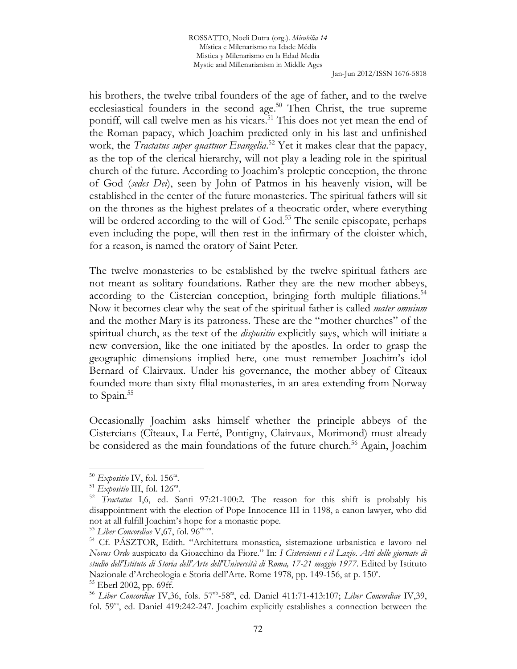ROSSATTO, Noeli Dutra (org.). *Mirabilia 14* Mística e Milenarismo na Idade Média Mistica y Milenarismo en la Edad Media Mystic and Millenarianism in Middle Ages

Jan-Jun 2012/ISSN 1676-5818

his brothers, the twelve tribal founders of the age of father, and to the twelve ecclesiastical founders in the second age.<sup>50</sup> Then Christ, the true supreme pontiff, will call twelve men as his vicars.<sup>51</sup> This does not yet mean the end of the Roman papacy, which Joachim predicted only in his last and unfinished work, the *Tractatus super quattuor Evangelia*. <sup>52</sup> Yet it makes clear that the papacy, as the top of the clerical hierarchy, will not play a leading role in the spiritual church of the future. According to Joachim's proleptic conception, the throne of God (*sedes Dei*), seen by John of Patmos in his heavenly vision, will be established in the center of the future monasteries. The spiritual fathers will sit on the thrones as the highest prelates of a theocratic order, where everything will be ordered according to the will of God.<sup>53</sup> The senile episcopate, perhaps even including the pope, will then rest in the infirmary of the cloister which, for a reason, is named the oratory of Saint Peter.

The twelve monasteries to be established by the twelve spiritual fathers are not meant as solitary foundations. Rather they are the new mother abbeys, according to the Cistercian conception, bringing forth multiple filiations.<sup>54</sup> Now it becomes clear why the seat of the spiritual father is called *mater omnium* and the mother Mary is its patroness. These are the "mother churches" of the spiritual church, as the text of the *dispositio* explicitly says, which will initiate a new conversion, like the one initiated by the apostles. In order to grasp the geographic dimensions implied here, one must remember Joachim's idol Bernard of Clairvaux. Under his governance, the mother abbey of Cîteaux founded more than sixty filial monasteries, in an area extending from Norway to Spain.<sup>55</sup>

Occasionally Joachim asks himself whether the principle abbeys of the Cistercians (Cîteaux, La Ferté, Pontigny, Clairvaux, Morimond) must already be considered as the main foundations of the future church.<sup>56</sup> Again, Joachim

 $50$  *Expositio* IV, fol. 156<sup>ra</sup>.

<sup>&</sup>lt;sup>51</sup> Expositio III, fol. 126<sup>va</sup>.

<sup>52</sup> *Tractatus* I,6, ed. Santi 97:21-100:2. The reason for this shift is probably his disappointment with the election of Pope Innocence III in 1198, a canon lawyer, who did not at all fulfill Joachim's hope for a monastic pope.

<sup>&</sup>lt;sup>53</sup> Liber Concordiae V, 67, fol. 96<sup>rb-va</sup>.

<sup>54</sup> Cf. PÁSZTOR, Edith. "Architettura monastica, sistemazione urbanistica e lavoro nel *Novus Ordo* auspicato da Gioacchino da Fiore." In: *I Cisterciensi e il Lazio*. *Atti delle giornate di studio dell'Istituto di Storia dell'Arte dell'Università di Roma, 17-21 maggio 1977*. Edited by Istituto Nazionale d'Archeologia e Storia dell'Arte. Rome 1978, pp. 149-156, at p. 150<sup>a</sup>. <sup>55</sup> Eberl 2002, pp. 69ff.

<sup>56</sup> *Liber Concordiae* IV,36, fols. 57vb-58ra, ed. Daniel 411:71-413:107; *Liber Concordiae* IV,39, fol. 59va, ed. Daniel 419:242-247. Joachim explicitly establishes a connection between the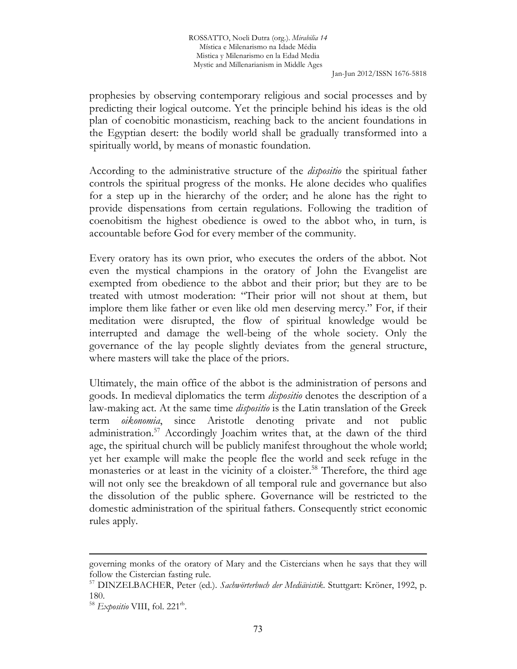prophesies by observing contemporary religious and social processes and by predicting their logical outcome. Yet the principle behind his ideas is the old plan of coenobitic monasticism, reaching back to the ancient foundations in the Egyptian desert: the bodily world shall be gradually transformed into a spiritually world, by means of monastic foundation.

According to the administrative structure of the *dispositio* the spiritual father controls the spiritual progress of the monks. He alone decides who qualifies for a step up in the hierarchy of the order; and he alone has the right to provide dispensations from certain regulations. Following the tradition of coenobitism the highest obedience is owed to the abbot who, in turn, is accountable before God for every member of the community.

Every oratory has its own prior, who executes the orders of the abbot. Not even the mystical champions in the oratory of John the Evangelist are exempted from obedience to the abbot and their prior; but they are to be treated with utmost moderation: "Their prior will not shout at them, but implore them like father or even like old men deserving mercy." For, if their meditation were disrupted, the flow of spiritual knowledge would be interrupted and damage the well-being of the whole society. Only the governance of the lay people slightly deviates from the general structure, where masters will take the place of the priors.

Ultimately, the main office of the abbot is the administration of persons and goods. In medieval diplomatics the term *dispositio* denotes the description of a law-making act. At the same time *dispositio* is the Latin translation of the Greek term *oikonomia*, since Aristotle denoting private and not public administration.<sup>57</sup> Accordingly Joachim writes that, at the dawn of the third age, the spiritual church will be publicly manifest throughout the whole world; yet her example will make the people flee the world and seek refuge in the monasteries or at least in the vicinity of a cloister.<sup>58</sup> Therefore, the third age will not only see the breakdown of all temporal rule and governance but also the dissolution of the public sphere. Governance will be restricted to the domestic administration of the spiritual fathers. Consequently strict economic rules apply.

governing monks of the oratory of Mary and the Cistercians when he says that they will follow the Cistercian fasting rule.

<sup>57</sup> DINZELBACHER, Peter (ed*.*). *Sachwörterbuch der Mediävistik*. Stuttgart: Kröner, 1992, p. 180.

<sup>&</sup>lt;sup>58</sup> Expositio VIII, fol. 221<sup>th</sup>.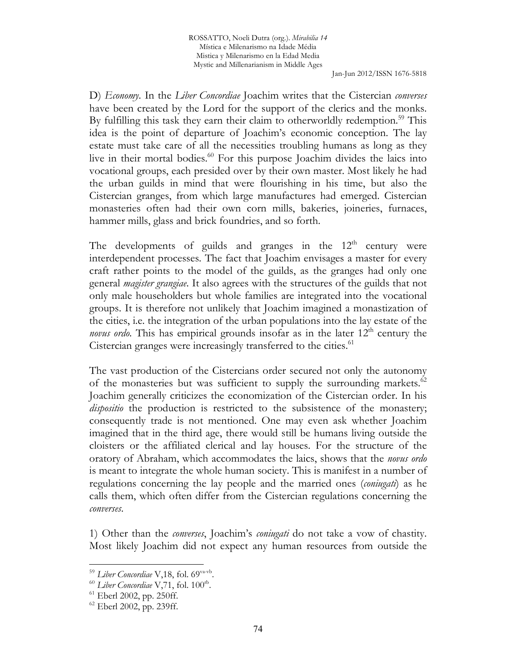D) *Economy*. In the *Liber Concordiae* Joachim writes that the Cistercian *converses* have been created by the Lord for the support of the clerics and the monks. By fulfilling this task they earn their claim to otherworldly redemption.<sup>59</sup> This idea is the point of departure of Joachim's economic conception. The lay estate must take care of all the necessities troubling humans as long as they live in their mortal bodies.<sup>60</sup> For this purpose Joachim divides the laics into vocational groups, each presided over by their own master. Most likely he had the urban guilds in mind that were flourishing in his time, but also the Cistercian granges, from which large manufactures had emerged. Cistercian monasteries often had their own corn mills, bakeries, joineries, furnaces, hammer mills, glass and brick foundries, and so forth.

The developments of guilds and granges in the  $12<sup>th</sup>$  century were interdependent processes. The fact that Joachim envisages a master for every craft rather points to the model of the guilds, as the granges had only one general *magister grangiae*. It also agrees with the structures of the guilds that not only male householders but whole families are integrated into the vocational groups. It is therefore not unlikely that Joachim imagined a monastization of the cities, i.e. the integration of the urban populations into the lay estate of the novus ordo. This has empirical grounds insofar as in the later 12<sup>th</sup> century the Cistercian granges were increasingly transferred to the cities.<sup>61</sup>

The vast production of the Cistercians order secured not only the autonomy of the monasteries but was sufficient to supply the surrounding markets.<sup>62</sup> Joachim generally criticizes the economization of the Cistercian order. In his *dispositio* the production is restricted to the subsistence of the monastery; consequently trade is not mentioned. One may even ask whether Joachim imagined that in the third age, there would still be humans living outside the cloisters or the affiliated clerical and lay houses. For the structure of the oratory of Abraham, which accommodates the laics, shows that the *novus ordo* is meant to integrate the whole human society. This is manifest in a number of regulations concerning the lay people and the married ones (*coniugati*) as he calls them, which often differ from the Cistercian regulations concerning the *converses*.

1) Other than the *converses*, Joachim's *coniugati* do not take a vow of chastity. Most likely Joachim did not expect any human resources from outside the

<sup>&</sup>lt;sup>59</sup> Liber Concordiae V,18, fol. 69<sup>va-vb</sup>.

<sup>60</sup> *Liber Concordiae* V,71, fol. 100rb .

 $61$  Eberl 2002, pp. 250ff.

 $62$  Eberl 2002, pp. 239ff.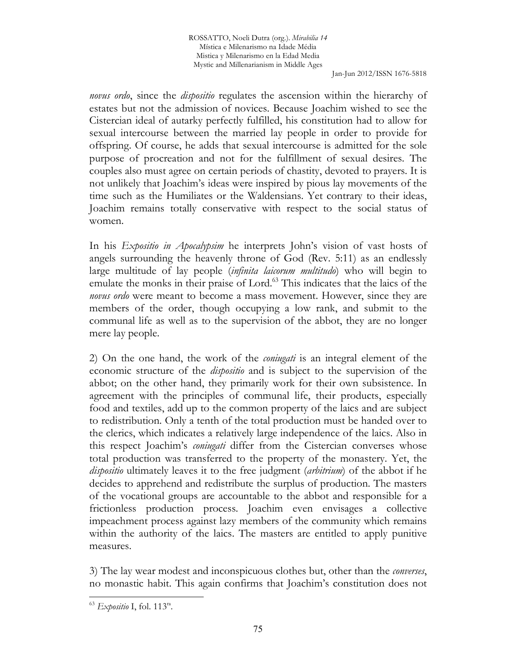*novus ordo*, since the *dispositio* regulates the ascension within the hierarchy of estates but not the admission of novices. Because Joachim wished to see the Cistercian ideal of autarky perfectly fulfilled, his constitution had to allow for sexual intercourse between the married lay people in order to provide for offspring. Of course, he adds that sexual intercourse is admitted for the sole purpose of procreation and not for the fulfillment of sexual desires. The couples also must agree on certain periods of chastity, devoted to prayers. It is not unlikely that Joachim's ideas were inspired by pious lay movements of the time such as the Humiliates or the Waldensians. Yet contrary to their ideas, Joachim remains totally conservative with respect to the social status of women.

In his *Expositio in Apocalypsim* he interprets John's vision of vast hosts of angels surrounding the heavenly throne of God (Rev. 5:11) as an endlessly large multitude of lay people (*infinita laicorum multitudo*) who will begin to emulate the monks in their praise of Lord.<sup>63</sup> This indicates that the laics of the *novus ordo* were meant to become a mass movement. However, since they are members of the order, though occupying a low rank, and submit to the communal life as well as to the supervision of the abbot, they are no longer mere lay people.

2) On the one hand, the work of the *coniugati* is an integral element of the economic structure of the *dispositio* and is subject to the supervision of the abbot; on the other hand, they primarily work for their own subsistence. In agreement with the principles of communal life, their products, especially food and textiles, add up to the common property of the laics and are subject to redistribution. Only a tenth of the total production must be handed over to the clerics, which indicates a relatively large independence of the laics. Also in this respect Joachim's *coniugati* differ from the Cistercian converses whose total production was transferred to the property of the monastery. Yet, the *dispositio* ultimately leaves it to the free judgment (*arbitrium*) of the abbot if he decides to apprehend and redistribute the surplus of production. The masters of the vocational groups are accountable to the abbot and responsible for a frictionless production process. Joachim even envisages a collective impeachment process against lazy members of the community which remains within the authority of the laics. The masters are entitled to apply punitive measures.

3) The lay wear modest and inconspicuous clothes but, other than the *converses*, no monastic habit. This again confirms that Joachim's constitution does not

<sup>63</sup> *Expositio* I, fol. 113ra .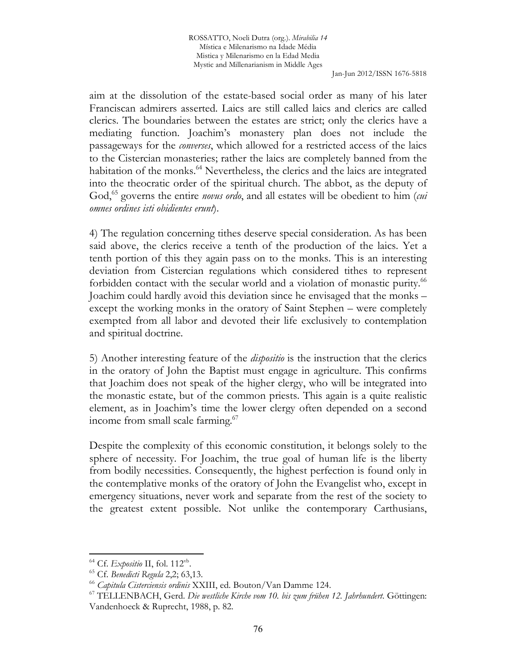aim at the dissolution of the estate-based social order as many of his later Franciscan admirers asserted. Laics are still called laics and clerics are called clerics. The boundaries between the estates are strict; only the clerics have a mediating function. Joachim's monastery plan does not include the passageways for the *converses*, which allowed for a restricted access of the laics to the Cistercian monasteries; rather the laics are completely banned from the habitation of the monks.<sup>64</sup> Nevertheless, the clerics and the laics are integrated into the theocratic order of the spiritual church. The abbot, as the deputy of God,<sup>65</sup> governs the entire *novus ordo*, and all estates will be obedient to him (*cui omnes ordines isti obidientes erunt*).

4) The regulation concerning tithes deserve special consideration. As has been said above, the clerics receive a tenth of the production of the laics. Yet a tenth portion of this they again pass on to the monks. This is an interesting deviation from Cistercian regulations which considered tithes to represent forbidden contact with the secular world and a violation of monastic purity.<sup>66</sup> Joachim could hardly avoid this deviation since he envisaged that the monks – except the working monks in the oratory of Saint Stephen – were completely exempted from all labor and devoted their life exclusively to contemplation and spiritual doctrine.

5) Another interesting feature of the *dispositio* is the instruction that the clerics in the oratory of John the Baptist must engage in agriculture. This confirms that Joachim does not speak of the higher clergy, who will be integrated into the monastic estate, but of the common priests. This again is a quite realistic element, as in Joachim's time the lower clergy often depended on a second income from small scale farming.<sup>67</sup>

Despite the complexity of this economic constitution, it belongs solely to the sphere of necessity. For Joachim, the true goal of human life is the liberty from bodily necessities. Consequently, the highest perfection is found only in the contemplative monks of the oratory of John the Evangelist who, except in emergency situations, never work and separate from the rest of the society to the greatest extent possible. Not unlike the contemporary Carthusians,

<sup>&</sup>lt;sup>64</sup> Cf. Expositio II, fol. 112<sup>vb</sup>.

<sup>65</sup> Cf. *Benedicti Regula* 2,2; 63,13.

<sup>66</sup> *Capitula Cisterciensis ordinis* XXIII, ed. Bouton/Van Damme 124.

<sup>67</sup> TELLENBACH, Gerd. *Die westliche Kirche vom 10. bis zum frühen 12. Jahrhundert.* Göttingen: Vandenhoeck & Ruprecht, 1988, p. 82.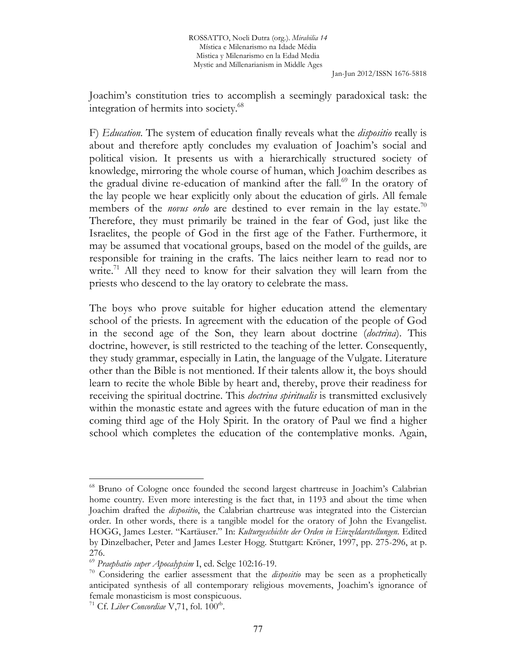Joachim's constitution tries to accomplish a seemingly paradoxical task: the integration of hermits into society.<sup>68</sup>

F) *Education*. The system of education finally reveals what the *dispositio* really is about and therefore aptly concludes my evaluation of Joachim's social and political vision. It presents us with a hierarchically structured society of knowledge, mirroring the whole course of human, which Joachim describes as the gradual divine re-education of mankind after the fall.<sup>69</sup> In the oratory of the lay people we hear explicitly only about the education of girls. All female members of the *novus ordo* are destined to ever remain in the lay estate.<sup>70</sup> Therefore, they must primarily be trained in the fear of God, just like the Israelites, the people of God in the first age of the Father. Furthermore, it may be assumed that vocational groups, based on the model of the guilds, are responsible for training in the crafts. The laics neither learn to read nor to write.<sup>71</sup> All they need to know for their salvation they will learn from the priests who descend to the lay oratory to celebrate the mass.

The boys who prove suitable for higher education attend the elementary school of the priests. In agreement with the education of the people of God in the second age of the Son, they learn about doctrine (*doctrina*). This doctrine, however, is still restricted to the teaching of the letter. Consequently, they study grammar, especially in Latin, the language of the Vulgate. Literature other than the Bible is not mentioned. If their talents allow it, the boys should learn to recite the whole Bible by heart and, thereby, prove their readiness for receiving the spiritual doctrine. This *doctrina spiritualis* is transmitted exclusively within the monastic estate and agrees with the future education of man in the coming third age of the Holy Spirit. In the oratory of Paul we find a higher school which completes the education of the contemplative monks. Again,

<sup>68</sup> Bruno of Cologne once founded the second largest chartreuse in Joachim's Calabrian home country. Even more interesting is the fact that, in 1193 and about the time when Joachim drafted the *dispositio*, the Calabrian chartreuse was integrated into the Cistercian order. In other words, there is a tangible model for the oratory of John the Evangelist. HOGG, James Lester. "Kartäuser." In: *Kulturgeschichte der Orden in Einzeldarstellungen*. Edited by Dinzelbacher, Peter and James Lester Hogg. Stuttgart: Kröner, 1997, pp. 275-296, at p. 276.

<sup>69</sup> *Praephatio super Apocalypsim* I, ed. Selge 102:16-19.

<sup>70</sup> Considering the earlier assessment that the *dispositio* may be seen as a prophetically anticipated synthesis of all contemporary religious movements, Joachim's ignorance of female monasticism is most conspicuous.

<sup>71</sup> Cf. *Liber Concordiae* V,71, fol. 100rb .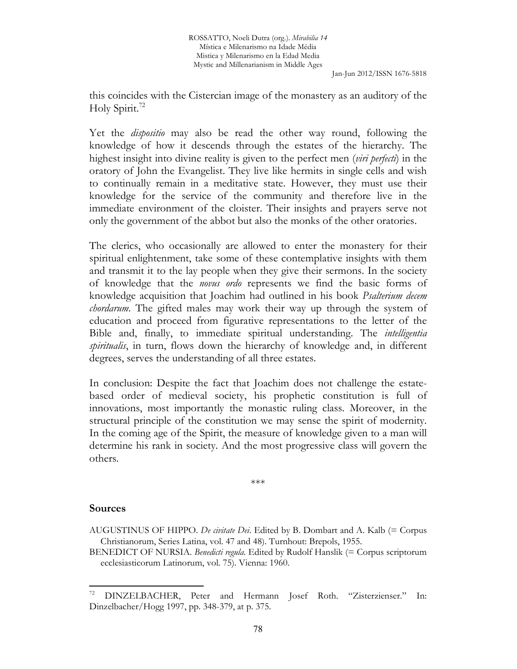this coincides with the Cistercian image of the monastery as an auditory of the Holy Spirit.<sup>72</sup>

Yet the *dispositio* may also be read the other way round, following the knowledge of how it descends through the estates of the hierarchy. The highest insight into divine reality is given to the perfect men (*viri perfecti*) in the oratory of John the Evangelist. They live like hermits in single cells and wish to continually remain in a meditative state. However, they must use their knowledge for the service of the community and therefore live in the immediate environment of the cloister. Their insights and prayers serve not only the government of the abbot but also the monks of the other oratories.

The clerics, who occasionally are allowed to enter the monastery for their spiritual enlightenment, take some of these contemplative insights with them and transmit it to the lay people when they give their sermons. In the society of knowledge that the *novus ordo* represents we find the basic forms of knowledge acquisition that Joachim had outlined in his book *Psalterium decem chordarum*. The gifted males may work their way up through the system of education and proceed from figurative representations to the letter of the Bible and, finally, to immediate spiritual understanding. The *intelligentia spiritualis*, in turn, flows down the hierarchy of knowledge and, in different degrees, serves the understanding of all three estates.

In conclusion: Despite the fact that Joachim does not challenge the estatebased order of medieval society, his prophetic constitution is full of innovations, most importantly the monastic ruling class. Moreover, in the structural principle of the constitution we may sense the spirit of modernity. In the coming age of the Spirit, the measure of knowledge given to a man will determine his rank in society. And the most progressive class will govern the others.

\*\*\*

### **Sources**

l

AUGUSTINUS OF HIPPO. *De civitate Dei*. Edited by B. Dombart and A. Kalb (= Corpus Christianorum, Series Latina, vol. 47 and 48). Turnhout: Brepols, 1955.

BENEDICT OF NURSIA. *Benedicti regula*. Edited by Rudolf Hanslik (= Corpus scriptorum ecclesiasticorum Latinorum, vol. 75). Vienna: 1960.

<sup>72</sup> DINZELBACHER, Peter and Hermann Josef Roth. "Zisterzienser." In: Dinzelbacher/Hogg 1997, pp. 348-379, at p. 375.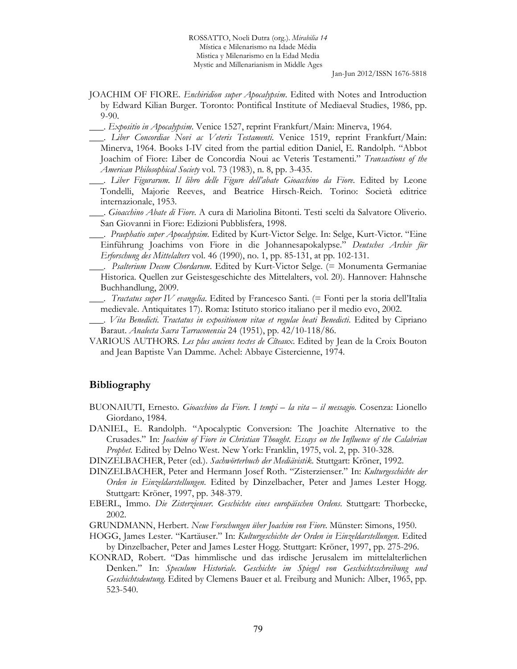- JOACHIM OF FIORE. *Enchiridion super Apocalypsim*. Edited with Notes and Introduction by Edward Kilian Burger. Toronto: Pontifical Institute of Mediaeval Studies, 1986, pp. 9-90.
- \_\_\_. *Expositio in Apocalypsim*. Venice 1527, reprint Frankfurt/Main: Minerva, 1964.
- \_\_\_. *Liber Concordiae Novi ac Veteris Testamenti*. Venice 1519, reprint Frankfurt/Main: Minerva, 1964. Books I-IV cited from the partial edition Daniel, E. Randolph. "Abbot Joachim of Fiore: Liber de Concordia Noui ac Veteris Testamenti." *Transactions of the American Philosophical Society* vol. 73 (1983), n. 8, pp. 3-435.
- \_\_\_. *Liber Figurarum. Il libro delle Figure dell'abate Gioacchino da Fiore*. Edited by Leone Tondelli, Majorie Reeves, and Beatrice Hirsch-Reich. Torino: Società editrice internazionale, 1953.
- \_\_\_. *Gioacchino Abate di Fiore*. A cura di Mariolina Bitonti. Testi scelti da Salvatore Oliverio. San Giovanni in Fiore: Edizioni Pubblisfera, 1998.
- \_\_\_. *Praephatio super Apocalypsim*. Edited by Kurt-Victor Selge. In: Selge, Kurt-Victor. "Eine Einführung Joachims von Fiore in die Johannesapokalypse." *Deutsches Archiv für Erforschung des Mittelalters* vol. 46 (1990), no. 1, pp. 85-131, at pp. 102-131.
- \_\_\_. *Psalterium Decem Chordarum*. Edited by Kurt-Victor Selge. (= Monumenta Germaniae Historica. Quellen zur Geistesgeschichte des Mittelalters, vol. 20). Hannover: Hahnsche Buchhandlung, 2009.
- \_\_\_. *Tractatus super IV evangelia*. Edited by Francesco Santi. (= Fonti per la storia dell'Italia medievale. Antiquitates 17). Roma: Istituto storico italiano per il medio evo, 2002.
- \_\_\_. *Vita Benedicti. Tractatus in expositionem vitae et regulae beati Benedicti*. Edited by Cipriano Baraut. *Analecta Sacra Tarraconensia* 24 (1951), pp. 42/10-118/86.
- VARIOUS AUTHORS. *Les plus anciens textes de Cîteaux*. Edited by Jean de la Croix Bouton and Jean Baptiste Van Damme. Achel: Abbaye Cistercienne, 1974.

#### **Bibliography**

- BUONAIUTI, Ernesto. *Gioacchino da Fiore. I tempi la vita il messagio*. Cosenza: Lionello Giordano, 1984.
- DANIEL, E. Randolph. "Apocalyptic Conversion: The Joachite Alternative to the Crusades." In: *Joachim of Fiore in Christian Thought. Essays on the Influence of the Calabrian Prophet.* Edited by Delno West. New York: Franklin, 1975, vol. 2, pp. 310-328.
- DINZELBACHER, Peter (ed*.*). *Sachwörterbuch der Mediävistik*. Stuttgart: Kröner, 1992.
- DINZELBACHER, Peter and Hermann Josef Roth. "Zisterzienser." In: *Kulturgeschichte der Orden in Einzeldarstellungen*. Edited by Dinzelbacher, Peter and James Lester Hogg. Stuttgart: Kröner, 1997, pp. 348-379.
- EBERL, Immo. *Die Zisterzienser. Geschichte eines europäischen Ordens*. Stuttgart: Thorbecke, 2002.
- GRUNDMANN, Herbert. *Neue Forschungen über Joachim von Fiore.* Münster: Simons, 1950.
- HOGG, James Lester. "Kartäuser." In: *Kulturgeschichte der Orden in Einzeldarstellungen*. Edited by Dinzelbacher, Peter and James Lester Hogg. Stuttgart: Kröner, 1997, pp. 275-296.
- KONRAD, Robert. "Das himmlische und das irdische Jerusalem im mittelalterlichen Denken." In: *Speculum Historiale. Geschichte im Spiegel von Geschichtsschreibung und Geschichtsdeutung*. Edited by Clemens Bauer et al. Freiburg and Munich: Alber, 1965, pp. 523-540.